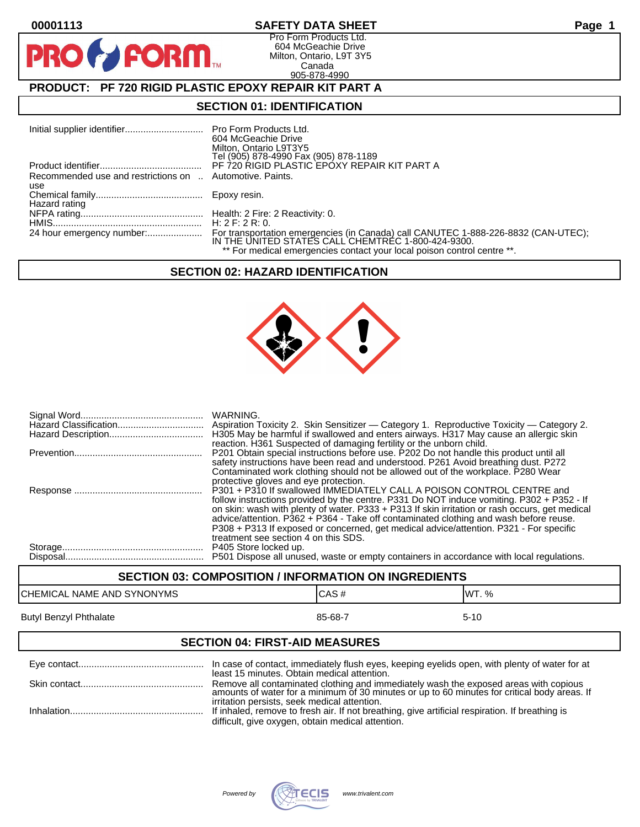PR

## **00001113 SAFETY DATA SHEET Page 1**

Pro Form Products Ltd. 604 McGeachie Drive Milton, Ontario, L9T 3Y5 Canada 905-878-4990

# **PRODUCT: PF 720 RIGID PLASTIC EPOXY REPAIR KIT PART A**

**FORM** 

#### **SECTION 01: IDENTIFICATION**

|                                                          | Pro Form Products Ltd.                                                                                                                   |
|----------------------------------------------------------|------------------------------------------------------------------------------------------------------------------------------------------|
|                                                          | 604 McGeachie Drive                                                                                                                      |
|                                                          | Milton, Ontario L9T3Y5                                                                                                                   |
|                                                          | Tel (905) 878-4990 Fax (905) 878-1189                                                                                                    |
|                                                          | PF 720 RIGID PLASTIC EPOXY REPAIR KIT PART A                                                                                             |
| Recommended use and restrictions on  Automotive. Paints. |                                                                                                                                          |
| use                                                      |                                                                                                                                          |
|                                                          | Epoxy resin.                                                                                                                             |
| Hazard rating                                            |                                                                                                                                          |
|                                                          |                                                                                                                                          |
|                                                          | H: 2 F: 2 R: 0.                                                                                                                          |
| 24 hour emergency number:                                | For transportation emergencies (in Canada) call CANUTEC 1-888-226-8832 (CAN-UTEC);<br>IN THE UNITED STATES CALL CHEMTREC 1-800-424-9300. |
|                                                          | ** For medical emergencies contact your local poison control centre **.                                                                  |

# **SECTION 02: HAZARD IDENTIFICATION**



| WARNING.<br>H305 May be harmful if swallowed and enters airways. H317 May cause an allergic skin<br>reaction. H361 Suspected of damaging fertility or the unborn child.                                                                                                                                                                                                                                                                                                                         |
|-------------------------------------------------------------------------------------------------------------------------------------------------------------------------------------------------------------------------------------------------------------------------------------------------------------------------------------------------------------------------------------------------------------------------------------------------------------------------------------------------|
| P201 Obtain special instructions before use. P202 Do not handle this product until all<br>safety instructions have been read and understood. P261 Avoid breathing dust. P272<br>Contaminated work clothing should not be allowed out of the workplace. P280 Wear<br>protective gloves and eye protection.                                                                                                                                                                                       |
| P301 + P310 If swallowed IMMEDIATELY CALL A POISON CONTROL CENTRE and<br>follow instructions provided by the centre. P331 Do NOT induce vomiting. P302 + P352 - If<br>on skin: wash with plenty of water. P333 + P313 If skin irritation or rash occurs, get medical<br>advice/attention. P362 + P364 - Take off contaminated clothing and wash before reuse.<br>P308 + P313 If exposed or concerned, get medical advice/attention. P321 - For specific<br>treatment see section 4 on this SDS. |
| P405 Store locked up.<br>P501 Dispose all unused, waste or empty containers in accordance with local regulations.                                                                                                                                                                                                                                                                                                                                                                               |

# **SECTION 03: COMPOSITION / INFORMATION ON INGREDIENTS** CHEMICAL NAME AND SYNONYMS CHEMICAL NAME AND SYNONYMS Butyl Benzyl Phthalate 85-68-7 5-10

#### **SECTION 04: FIRST-AID MEASURES**

| In case of contact, immediately flush eyes, keeping eyelids open, with plenty of water for at<br>least 15 minutes. Obtain medical attention.                                                         |
|------------------------------------------------------------------------------------------------------------------------------------------------------------------------------------------------------|
| Remove all contaminated clothing and immediately wash the exposed areas with copious<br>amounts of water for a minimum of 30 minutes or up to 60 minutes for critical body areas. If                 |
| irritation persists, seek medical attention.<br>If inhaled, remove to fresh air. If not breathing, give artificial respiration. If breathing is<br>difficult, give oxygen, obtain medical attention. |

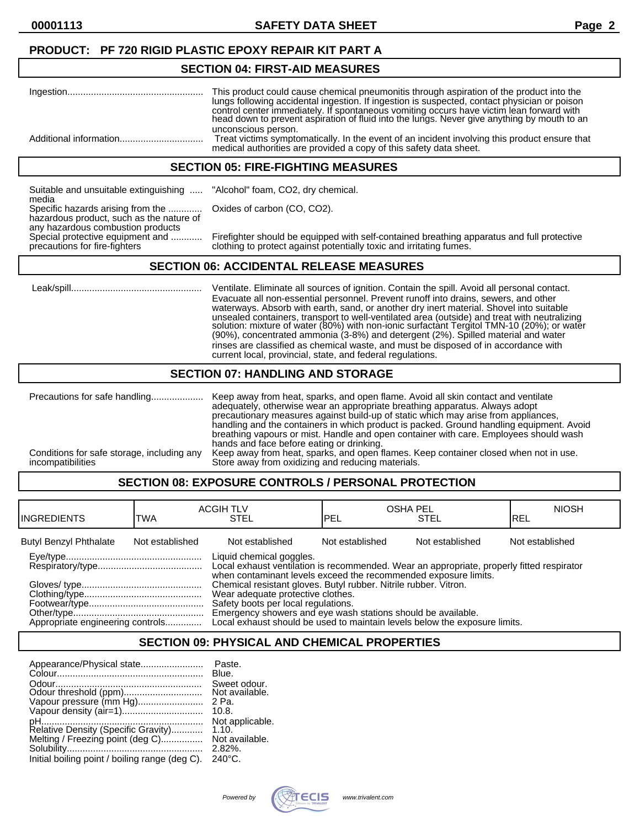## **PRODUCT: PF 720 RIGID PLASTIC EPOXY REPAIR KIT PART A**

#### **SECTION 04: FIRST-AID MEASURES**

| This product could cause chemical pneumonitis through aspiration of the product into the<br>lungs following accidental ingestion. If ingestion is suspected, contact physician or poison<br>control center immediately. If spontaneous vomiting occurs have victim lean forward with<br>head down to prevent aspiration of fluid into the lungs. Never give anything by mouth to an |
|-------------------------------------------------------------------------------------------------------------------------------------------------------------------------------------------------------------------------------------------------------------------------------------------------------------------------------------------------------------------------------------|
| unconscious person.<br>Treat victims symptomatically. In the event of an incident involving this product ensure that<br>medical authorities are provided a copy of this safety data sheet.                                                                                                                                                                                          |

#### **SECTION 05: FIRE-FIGHTING MEASURES**

Suitable and unsuitable extinguishing ..... "Alcohol" foam, CO2, dry chemical. media Specific hazards arising from the ............. Oxides of carbon (CO, CO2). hazardous product, such as the nature of any hazardous combustion products<br>Special protective equipment and ............

Special protective equipment and ............ Firefighter should be equipped with self-contained breathing apparatus and full protective<br>precautions for fire-fighters on the clothing to protect against potentially toxic an clothing to protect against potentially toxic and irritating fumes.

#### **SECTION 06: ACCIDENTAL RELEASE MEASURES**

 Leak/spill.................................................. Ventilate. Eliminate all sources of ignition. Contain the spill. Avoid all personal contact. Evacuate all non-essential personnel. Prevent runoff into drains, sewers, and other waterways. Absorb with earth, sand, or another dry inert material. Shovel into suitable unsealed containers, transport to well-ventilated area (outside) and treat with neutralizing solution: mixture of water (80%) with non-ionic surfactànt Tergitol TMN-10 (20%); or water (90%), concentrated ammonia (3-8%) and detergent (2%). Spilled material and water rinses are classified as chemical waste, and must be disposed of in accordance with current local, provincial, state, and federal regulations.

#### **SECTION 07: HANDLING AND STORAGE**

| Precautions for safe handling              | Keep away from heat, sparks, and open flame. Avoid all skin contact and ventilate<br>adequately, otherwise wear an appropriate breathing apparatus. Always adopt<br>precautionary measures against build-up of static which may arise from appliances,<br>handling and the containers in which product is packed. Ground handling equipment. Avoid<br>breathing vapours or mist. Handle and open container with care. Employees should wash<br>hands and face before eating or drinking. |
|--------------------------------------------|------------------------------------------------------------------------------------------------------------------------------------------------------------------------------------------------------------------------------------------------------------------------------------------------------------------------------------------------------------------------------------------------------------------------------------------------------------------------------------------|
| Conditions for safe storage, including any | Keep away from heat, sparks, and open flames. Keep container closed when not in use.                                                                                                                                                                                                                                                                                                                                                                                                     |
| incompatibilities                          | Store away from oxidizing and reducing materials.                                                                                                                                                                                                                                                                                                                                                                                                                                        |

# **SECTION 08: EXPOSURE CONTROLS / PERSONAL PROTECTION**

| <b>IINGREDIENTS</b>              | TWA             | <b>ACGIH TLV</b><br><b>STEL</b>                                                                                                                                                                                                                                                                                                                                                                                                                                                        | <b>IPEL</b>     | <b>OSHA PEL</b><br><b>STEL</b> | <b>NIOSH</b><br>IREL |
|----------------------------------|-----------------|----------------------------------------------------------------------------------------------------------------------------------------------------------------------------------------------------------------------------------------------------------------------------------------------------------------------------------------------------------------------------------------------------------------------------------------------------------------------------------------|-----------------|--------------------------------|----------------------|
| <b>Butyl Benzyl Phthalate</b>    | Not established | Not established                                                                                                                                                                                                                                                                                                                                                                                                                                                                        | Not established | Not established                | Not established      |
| Appropriate engineering controls |                 | Liquid chemical goggles.<br>Local exhaust ventilation is recommended. Wear an appropriate, properly fitted respirator<br>when contaminant levels exceed the recommended exposure limits.<br>Chemical resistant gloves. Butyl rubber. Nitrile rubber. Vitron.<br>Wear adequate protective clothes.<br>Safety boots per local regulations.<br>Emergency showers and eye wash stations should be available.<br>Local exhaust should be used to maintain levels below the exposure limits. |                 |                                |                      |

# **SECTION 09: PHYSICAL AND CHEMICAL PROPERTIES**

| Appearance/Physical state                                               | Paste.<br>Blue.                         |
|-------------------------------------------------------------------------|-----------------------------------------|
| Odour threshold (ppm)                                                   | Sweet odour.<br>Not available.<br>2 Pa. |
| Vapour pressure (mm Hg)                                                 | 10.8.<br>Not applicable.                |
| Relative Density (Specific Gravity)<br>Melting / Freezing point (deg C) | 1.10.<br>Not available.<br>$2.82\%$     |
| Initial boiling point / boiling range (deg C).                          | $240^{\circ}$ C.                        |

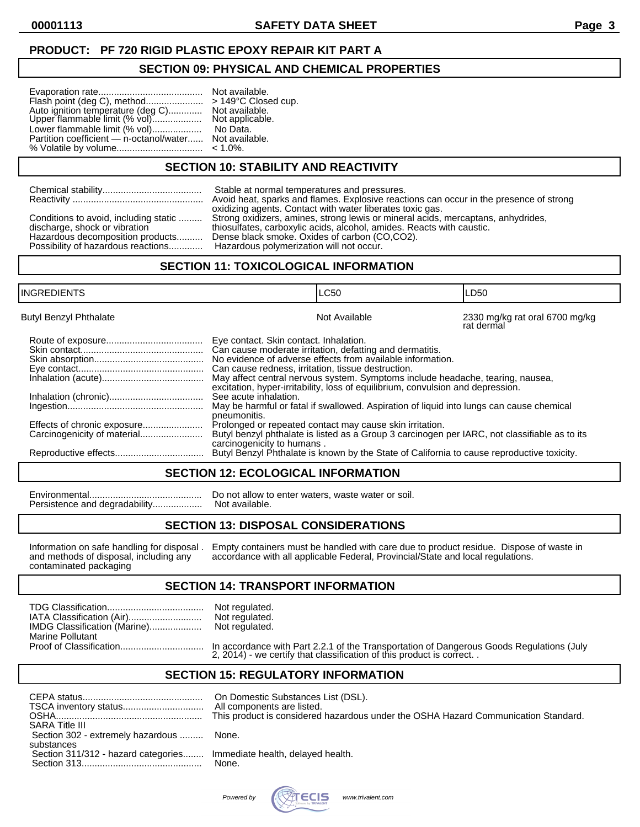# **PRODUCT: PF 720 RIGID PLASTIC EPOXY REPAIR KIT PART A**

#### **SECTION 09: PHYSICAL AND CHEMICAL PROPERTIES**

|                                                           | Not available.<br>> 149°C Close<br>Not available.<br>Not applicable. |
|-----------------------------------------------------------|----------------------------------------------------------------------|
| Lower flammable limit (% vol)<br>No Data.                 |                                                                      |
| Partition coefficient — n-octanol/water<br>Not available. |                                                                      |
| % Volatile by volume<br>$< 1.0\%$ .                       |                                                                      |

**SECTION 10: STABILITY AND REACTIVITY**

149°C Closed cup.

| Conditions to avoid, including static<br>discharge, shock or vibration<br>Hazardous decomposition products | Stable at normal temperatures and pressures.<br>Avoid heat, sparks and flames. Explosive reactions can occur in the presence of strong<br>oxidizing agents. Contact with water liberates toxic gas.<br>Strong oxidizers, amines, strong lewis or mineral acids, mercaptans, anhydrides,<br>thiosulfates, carboxylic acids, alcohol, amides. Reacts with caustic.<br>Dense black smoke. Oxides of carbon (CO,CO2). |
|------------------------------------------------------------------------------------------------------------|-------------------------------------------------------------------------------------------------------------------------------------------------------------------------------------------------------------------------------------------------------------------------------------------------------------------------------------------------------------------------------------------------------------------|
| Possibility of hazardous reactions                                                                         | Hazardous polymerization will not occur.                                                                                                                                                                                                                                                                                                                                                                          |

#### **SECTION 11: TOXICOLOGICAL INFORMATION**

| INGREDIENTS                   |                                                                                                                                                                     | <b>LC50</b>                                                                                                                                                                                                                                                                                                                                                                                                                                                                                                                                          | LD50                                         |
|-------------------------------|---------------------------------------------------------------------------------------------------------------------------------------------------------------------|------------------------------------------------------------------------------------------------------------------------------------------------------------------------------------------------------------------------------------------------------------------------------------------------------------------------------------------------------------------------------------------------------------------------------------------------------------------------------------------------------------------------------------------------------|----------------------------------------------|
| <b>Butyl Benzyl Phthalate</b> |                                                                                                                                                                     | Not Available                                                                                                                                                                                                                                                                                                                                                                                                                                                                                                                                        | 2330 mg/kg rat oral 6700 mg/kg<br>rat dermal |
| Effects of chronic exposure   | Eye contact. Skin contact. Inhalation.<br>Can cause redness, irritation, tissue destruction.<br>See acute inhalation.<br>pneumonitis.<br>carcinogenicity to humans. | Can cause moderate irritation, defatting and dermatitis.<br>No evidence of adverse effects from available information.<br>May affect central nervous system. Symptoms include headache, tearing, nausea,<br>excitation, hyper-irritability, loss of equilibrium, convulsion and depression.<br>May be harmful or fatal if swallowed. Aspiration of liquid into lungs can cause chemical<br>Prolonged or repeated contact may cause skin irritation.<br>Butyl benzyl phthalate is listed as a Group 3 carcinogen per IARC, not classifiable as to its |                                              |
|                               |                                                                                                                                                                     | Butyl Benzyl Phthalate is known by the State of California to cause reproductive toxicity.                                                                                                                                                                                                                                                                                                                                                                                                                                                           |                                              |

#### **SECTION 12: ECOLOGICAL INFORMATION**

Persistence and degradability..................

Environmental........................................... Do not allow to enter waters, waste water or soil.

#### **SECTION 13: DISPOSAL CONSIDERATIONS**

contaminated packaging

Information on safe handling for disposal . Empty containers must be handled with care due to product residue. Dispose of waste in and methods of disposal, including any accordance with all applicable Federal, Provincial/S accordance with all applicable Federal, Provincial/State and local regulations.

#### **SECTION 14: TRANSPORT INFORMATION**

regulated. regulated. regulated.

|                         | Not<br>Not |
|-------------------------|------------|
| <b>Marine Pollutant</b> |            |
|                         |            |

Proof of Classification................................ In accordance with Part 2.2.1 of the Transportation of Dangerous Goods Regulations (July 2, 2014) - we certify that classification of this product is correct. .

#### **SECTION 15: REGULATORY INFORMATION**

| SARA Title III<br>Section 302 - extremely hazardous<br>substances     | On Domestic Substances List (DSL).<br>All components are listed.<br>This product is considered hazardous under the OSHA Hazard Communication Standard.<br>None. |
|-----------------------------------------------------------------------|-----------------------------------------------------------------------------------------------------------------------------------------------------------------|
| Section 311/312 - hazard categories Immediate health, delayed health. | None.                                                                                                                                                           |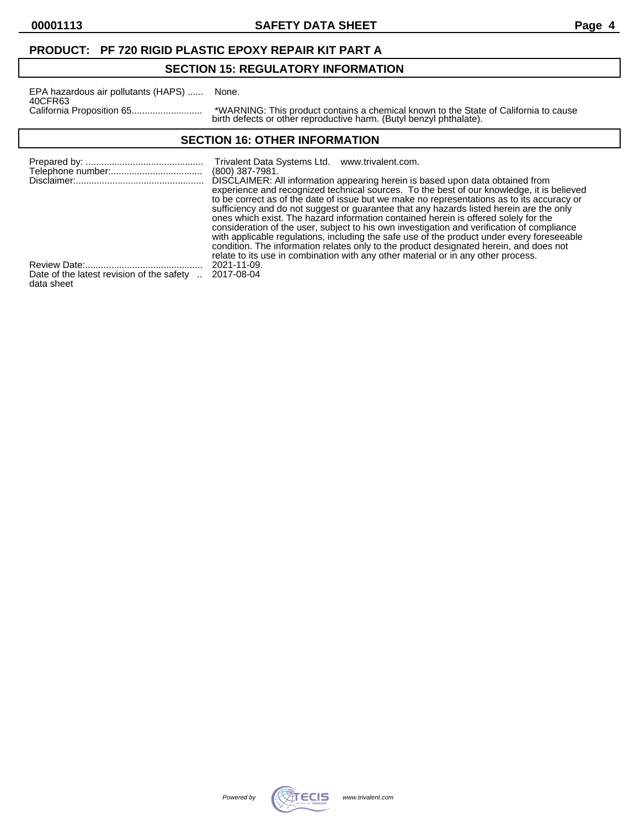### **PRODUCT: PF 720 RIGID PLASTIC EPOXY REPAIR KIT PART A**

# **SECTION 15: REGULATORY INFORMATION**

| EPA hazardous air pollutants (HAPS) | None.                           |
|-------------------------------------|---------------------------------|
| 40CFR63                             |                                 |
|                                     | *WARN<br>المسالم المالفين والمر |

California Proposition 65........................... \*WARNING: This product contains a chemical known to the State of California to cause birth defects or other reproductive harm. (Butyl benzyl phthalate).

# **SECTION 16: OTHER INFORMATION**

|                                                       | Trivalent Data Systems Ltd. www.trivalent.com.<br>$(800)$ 387-7981.<br>DISCLAIMER: All information appearing herein is based upon data obtained from                                                                                                                                                                                                                      |
|-------------------------------------------------------|---------------------------------------------------------------------------------------------------------------------------------------------------------------------------------------------------------------------------------------------------------------------------------------------------------------------------------------------------------------------------|
|                                                       | experience and recognized technical sources. To the best of our knowledge, it is believed<br>to be correct as of the date of issue but we make no representations as to its accuracy or<br>sufficiency and do not suggest or guarantee that any hazards listed herein are the only<br>ones which exist. The hazard information contained herein is offered solely for the |
|                                                       | consideration of the user, subject to his own investigation and verification of compliance<br>with applicable regulations, including the safe use of the product under every foreseeable<br>condition. The information relates only to the product designated herein, and does not<br>relate to its use in combination with any other material or in any other process.   |
|                                                       | 2021-11-09.                                                                                                                                                                                                                                                                                                                                                               |
| Date of the latest revision of the safety  2017-08-04 |                                                                                                                                                                                                                                                                                                                                                                           |

data sheet

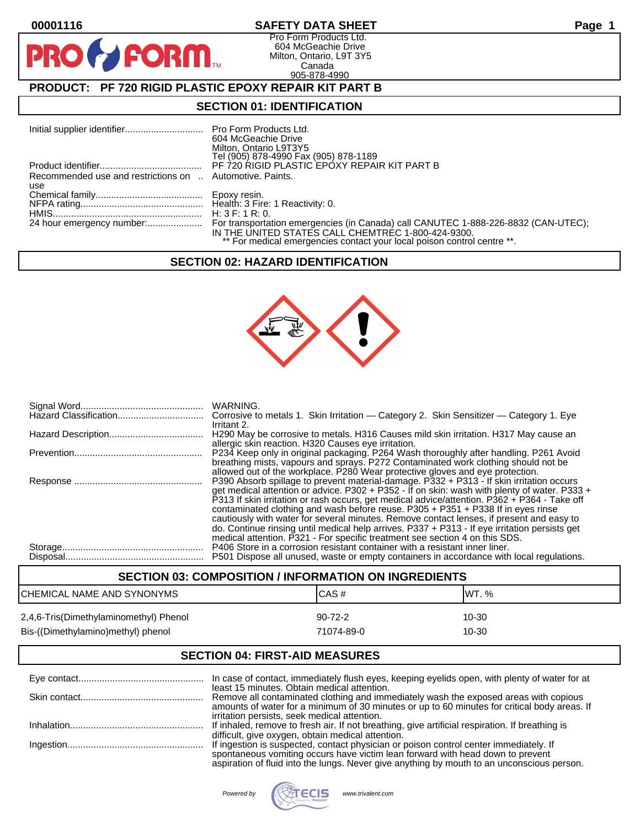**PIR** 

#### **00001116 SAFETY DATA SHEET Page 1**

Pro Form Products Ltd. 604 McGeachie Drive Milton, Ontario, L9T 3Y5 Canada 905-878-4990

# **PRODUCT: PF 720 RIGID PLASTIC EPOXY REPAIR KIT PART B**

**FORM.** 

#### **SECTION 01: IDENTIFICATION**

|                                                          | 604 McGeachie Drive<br>Milton, Ontario L9T3Y5<br>Tel (905) 878-4990 Fax (905) 878-1189                                        |
|----------------------------------------------------------|-------------------------------------------------------------------------------------------------------------------------------|
|                                                          |                                                                                                                               |
| Recommended use and restrictions on  Automotive. Paints. |                                                                                                                               |
| use                                                      |                                                                                                                               |
|                                                          |                                                                                                                               |
|                                                          |                                                                                                                               |
|                                                          |                                                                                                                               |
|                                                          | IN THE UNITED STATES CALL CHEMTREC 1-800-424-9300.<br>** For medical emergencies contact your local poison control centre **. |

#### **SECTION 02: HAZARD IDENTIFICATION**



| WARNING.<br>Corrosive to metals 1. Skin Irritation - Category 2. Skin Sensitizer - Category 1. Eye                                                                                                                                                                                                                                                                                                                                                            |
|---------------------------------------------------------------------------------------------------------------------------------------------------------------------------------------------------------------------------------------------------------------------------------------------------------------------------------------------------------------------------------------------------------------------------------------------------------------|
| Irritant 2.<br>H290 May be corrosive to metals. H316 Causes mild skin irritation. H317 May cause an<br>allergic skin reaction. H320 Causes eye irritation.                                                                                                                                                                                                                                                                                                    |
| P234 Keep only in original packaging. P264 Wash thoroughly after handling. P261 Avoid<br>breathing mists, vapours and sprays. P272 Contaminated work clothing should not be                                                                                                                                                                                                                                                                                   |
| allowed out of the workplace. P280 Wear protective gloves and eye protection.<br>P390 Absorb spillage to prevent material-damage. P332 + P313 - If skin irritation occurs<br>get medical attention or advice. P302 + P352 - If on skin: wash with plenty of water. P333 +<br>P313 If skin irritation or rash occurs, get medical advice/attention. P362 + P364 - Take off<br>contaminated clothing and wash before reuse. P305 + P351 + P338 If in eyes rinse |
| cautiously with water for several minutes. Remove contact lenses, if present and easy to<br>do. Continue rinsing until medical help arrives. P337 + P313 - If eye irritation persists get<br>medical attention. P321 - For specific treatment see section 4 on this SDS.                                                                                                                                                                                      |
| P406 Store in a corrosion resistant container with a resistant inner liner.<br>P501 Dispose all unused, waste or empty containers in accordance with local regulations.                                                                                                                                                                                                                                                                                       |

# **SECTION 03: COMPOSITION / INFORMATION ON INGREDIENTS** CHEMICAL NAME AND SYNONYMS CAS A CAS # CAS # WT. % 2,4,6-Tris(Dimethylaminomethyl) Phenol 90-72-2 10-30 Bis-((Dimethylamino)methyl) phenol 71074-89-0 71074-89-0

# **SECTION 04: FIRST-AID MEASURES**

| In case of contact, immediately flush eyes, keeping eyelids open, with plenty of water for at                                                |
|----------------------------------------------------------------------------------------------------------------------------------------------|
| least 15 minutes. Obtain medical attention.<br>Remove all contaminated clothing and immediately wash the exposed areas with copious          |
| amounts of water for a minimum of 30 minutes or up to 60 minutes for critical body areas. If<br>irritation persists, seek medical attention. |
| If inhaled, remove to fresh air. If not breathing, give artificial respiration. If breathing is                                              |
| difficult, give oxygen, obtain medical attention.                                                                                            |
| If ingestion is suspected, contact physician or poison control center immediately. If                                                        |
| spontaneous vomiting occurs have victim lean forward with head down to prevent                                                               |
| aspiration of fluid into the lungs. Never give anything by mouth to an unconscious person.                                                   |

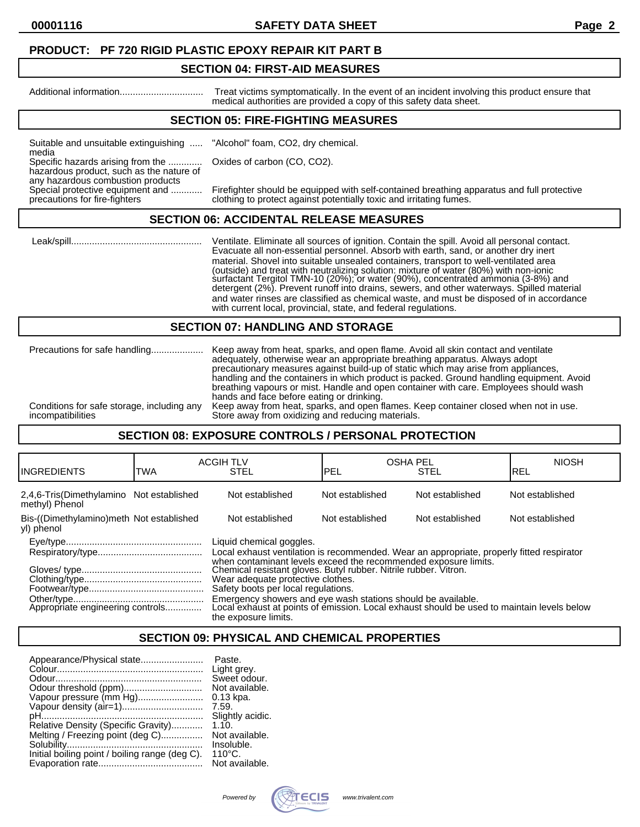#### **PRODUCT: PF 720 RIGID PLASTIC EPOXY REPAIR KIT PART B**

#### **SECTION 04: FIRST-AID MEASURES**

Additional information................................ Treat victims symptomatically. In the event of an incident involving this product ensure that medical authorities are provided a copy of this safety data sheet.

## **SECTION 05: FIRE-FIGHTING MEASURES**

Suitable and unsuitable extinguishing ..... "Alcohol" foam, CO2, dry chemical. media

Specific hazards arising from the ............. Oxides of carbon (CO, CO2).

hazardous product, such as the nature of any hazardous combustion products<br>Special protective equipment and ............

Special protective equipment and ............ Firefighter should be equipped with self-contained breathing apparatus and full protective<br>precautions for fire-fighters clothing to protect against potentially toxic and irrit clothing to protect against potentially toxic and irritating fumes.

#### **SECTION 06: ACCIDENTAL RELEASE MEASURES**

 Leak/spill.................................................. Ventilate. Eliminate all sources of ignition. Contain the spill. Avoid all personal contact. Evacuate all non-essential personnel. Absorb with earth, sand, or another dry inert material. Shovel into suitable unsealed containers, transport to well-ventilated area (outside) and treat with neutralizing solution: mixture of water (80%) with non-ionic surfactant Tergitol TMN-10 (20%); or water (90%), concentrated ammonia (3-8%) and detergent (2%). Prevent runoff into drains, sewers, and other waterways. Spilled material and water rinses are classified as chemical waste, and must be disposed of in accordance with current local, provincial, state, and federal regulations.

#### **SECTION 07: HANDLING AND STORAGE**

|                                            | adequately, otherwise wear an appropriate breathing apparatus. Always adopt<br>precautionary measures against build-up of static which may arise from appliances,<br>handling and the containers in which product is packed. Ground handling equipment. Avoid<br>breathing vapours or mist. Handle and open container with care. Employees should wash<br>hands and face before eating or drinking. |
|--------------------------------------------|-----------------------------------------------------------------------------------------------------------------------------------------------------------------------------------------------------------------------------------------------------------------------------------------------------------------------------------------------------------------------------------------------------|
| Conditions for safe storage, including any | Keep away from heat, sparks, and open flames. Keep container closed when not in use.                                                                                                                                                                                                                                                                                                                |
| incompatibilities                          | Store away from oxidizing and reducing materials.                                                                                                                                                                                                                                                                                                                                                   |

#### **SECTION 08: EXPOSURE CONTROLS / PERSONAL PROTECTION**

| IINGREDIENTS                                               | TWA                                                                                                                                                                                                                                                                                                                                      | <b>ACGIH TLV</b><br><b>STEL</b>                                                                                                                                                    | <b>OSHA PEL</b><br>PEL | <b>STEL</b>     | <b>NIOSH</b><br>IREL |
|------------------------------------------------------------|------------------------------------------------------------------------------------------------------------------------------------------------------------------------------------------------------------------------------------------------------------------------------------------------------------------------------------------|------------------------------------------------------------------------------------------------------------------------------------------------------------------------------------|------------------------|-----------------|----------------------|
| 2,4,6-Tris(Dimethylamino Not established<br>methyl) Phenol |                                                                                                                                                                                                                                                                                                                                          | Not established                                                                                                                                                                    | Not established        | Not established | Not established      |
| Bis-((Dimethylamino)meth Not established<br>yl) phenol     |                                                                                                                                                                                                                                                                                                                                          | Not established                                                                                                                                                                    | Not established        | Not established | Not established      |
|                                                            | Liquid chemical goggles.<br>Local exhaust ventilation is recommended. Wear an appropriate, properly fitted respirator<br>when contaminant levels exceed the recommended exposure limits.<br>Chemical resistant gloves. Butyl rubber. Nitrile rubber. Vitron.<br>Wear adequate protective clothes.<br>Safety boots per local regulations. |                                                                                                                                                                                    |                        |                 |                      |
|                                                            |                                                                                                                                                                                                                                                                                                                                          | Emergency showers and eye wash stations should be available.<br>Local exhaust at points of emission. Local exhaust should be used to maintain levels below<br>the exposure limits. |                        |                 |                      |

# **SECTION 09: PHYSICAL AND CHEMICAL PROPERTIES**

| Appearance/Physical state                      | Paste.           |
|------------------------------------------------|------------------|
|                                                | Light grey.      |
|                                                | Sweet odour.     |
|                                                | Not available.   |
| Vapour pressure (mm Hg)                        | $0.13$ kpa.      |
| Vapour density (air=1)                         | 7.59.            |
|                                                | Slightly acidic. |
| Relative Density (Specific Gravity)            | 1.10.            |
| Melting / Freezing point (deg C)               | Not available.   |
|                                                | Insoluble.       |
| Initial boiling point / boiling range (deg C). | $110^{\circ}$ C. |
|                                                | Not available.   |

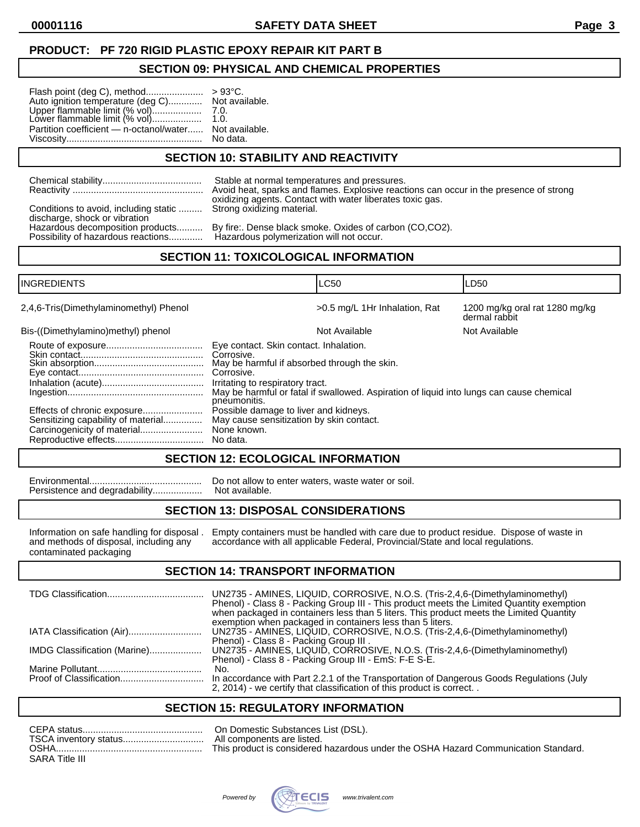# **PRODUCT: PF 720 RIGID PLASTIC EPOXY REPAIR KIT PART B**

#### **SECTION 09: PHYSICAL AND CHEMICAL PROPERTIES**

| Auto ignition temperature (deg C) Not available.                                         |          |
|------------------------------------------------------------------------------------------|----------|
| Upper flammable limit (% vol)          7.0.<br>Lower flammable limit (% vol)        1.0. |          |
| Partition coefficient - n-octanol/water Not available.                                   | No data. |

# **SECTION 10: STABILITY AND REACTIVITY**

|                                       | Stable at normal temperatures and pressures.                                           |
|---------------------------------------|----------------------------------------------------------------------------------------|
|                                       | Avoid heat, sparks and flames. Explosive reactions can occur in the presence of strong |
| Conditions to avoid, including static | oxidizing agents. Contact with water liberates toxic gas.                              |
| discharge, shock or vibration         | Strong oxidizing material.                                                             |
| Hazardous decomposition products      | By fire:. Dense black smoke. Oxides of carbon (CO,CO2).                                |
| Possibility of hazardous reactions    | Hazardous polymerization will not occur.                                               |

# **SECTION 11: TOXICOLOGICAL INFORMATION**

| <b>INGREDIENTS</b>                                                |                                                                                                                                                                        | LC50                                                                                     | LD50                                            |
|-------------------------------------------------------------------|------------------------------------------------------------------------------------------------------------------------------------------------------------------------|------------------------------------------------------------------------------------------|-------------------------------------------------|
| 2,4,6-Tris(Dimethylaminomethyl) Phenol                            |                                                                                                                                                                        | >0.5 mg/L 1Hr Inhalation, Rat                                                            | 1200 mg/kg oral rat 1280 mg/kg<br>dermal rabbit |
| Bis-((Dimethylamino)methyl) phenol                                |                                                                                                                                                                        | Not Available                                                                            | Not Available                                   |
|                                                                   | Eye contact. Skin contact. Inhalation.<br>Corrosive.<br>May be harmful if absorbed through the skin.<br>Corrosive.<br>Irritating to respiratory tract.<br>pneumonitis. | May be harmful or fatal if swallowed. Aspiration of liquid into lungs can cause chemical |                                                 |
| Effects of chronic exposure<br>Sensitizing capability of material | Possible damage to liver and kidneys.<br>May cause sensitization by skin contact.<br>None known.<br>No data.                                                           |                                                                                          |                                                 |

#### **SECTION 12: ECOLOGICAL INFORMATION**

Persistence and degradability...................

Environmental........................................... Do not allow to enter waters, waste water or soil.

# **SECTION 13: DISPOSAL CONSIDERATIONS**

contaminated packaging

Information on safe handling for disposal . Empty containers must be handled with care due to product residue. Dispose of waste in and methods of disposal, including any accordance with all applicable Federal, Provincial/S and methods of disposal, including and methods of disposal, including accordance with all applicable Federal, Provincial/State and local regulations.

# **SECTION 14: TRANSPORT INFORMATION**

|                              | UN2735 - AMINES, LIQUID, CORROSIVE, N.O.S. (Tris-2,4,6-(Dimethylaminomethyl)<br>Phenol) - Class 8 - Packing Group III - This product meets the Limited Quantity exemption<br>when packaged in containers less than 5 liters. This product meets the Limited Quantity<br>exemption when packaged in containers less than 5 liters. |
|------------------------------|-----------------------------------------------------------------------------------------------------------------------------------------------------------------------------------------------------------------------------------------------------------------------------------------------------------------------------------|
|                              | UN2735 - AMINES, LIQUID, CORROSIVE, N.O.S. (Tris-2,4,6-(Dimethylaminomethyl)<br>Phenol) - Class 8 - Packing Group III.                                                                                                                                                                                                            |
| IMDG Classification (Marine) | UN2735 - AMINES, LIQUID, CORROSIVE, N.O.S. (Tris-2,4,6-(Dimethylaminomethyl)<br>Phenol) - Class 8 - Packing Group III - EmS: F-E S-E.                                                                                                                                                                                             |
|                              | No.<br>In accordance with Part 2.2.1 of the Transportation of Dangerous Goods Regulations (July                                                                                                                                                                                                                                   |
|                              | 2, 2014) - we certify that classification of this product is correct                                                                                                                                                                                                                                                              |

# **SECTION 15: REGULATORY INFORMATION**

| CEPA status           | On Domestic Substances List (DSL).                                                 |
|-----------------------|------------------------------------------------------------------------------------|
| TSCA inventory status | All components are listed.                                                         |
| <b>OSHA</b>           | This product is considered hazardous under the OSHA Hazard Communication Standard. |
| SARA Title III        |                                                                                    |